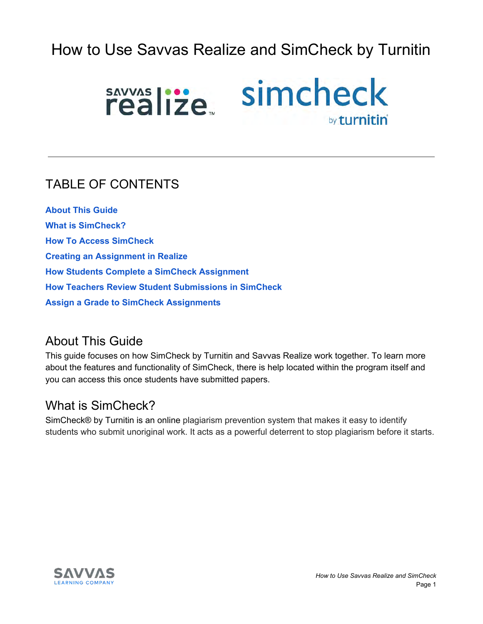# How to Use Savvas Realize and SimCheck by Turnitin



#### TABLE OF CONTENTS

**About This Guide What is SimCheck? How To Access SimCheck Creating an Assignment in Realize How Students Complete a SimCheck Assignment How Teachers Review Student Submissions in SimCheck Assign a Grade to SimCheck Assignments**

#### About This Guide

This guide focuses on how SimCheck by Turnitin and Savvas Realize work together. To learn more about the features and functionality of SimCheck, there is help located within the program itself and you can access this once students have submitted papers.

#### What is SimCheck?

SimCheck® by Turnitin is an online plagiarism prevention system that makes it easy to identify students who submit unoriginal work. It acts as a powerful deterrent to stop plagiarism before it starts.

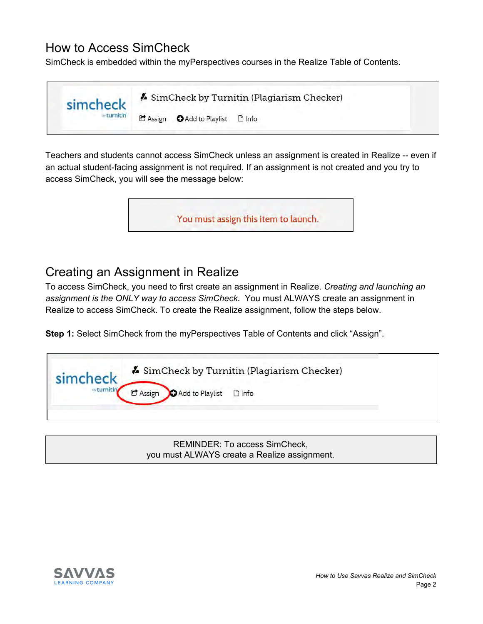#### How to Access SimCheck

SimCheck is embedded within the myPerspectives courses in the Realize Table of Contents.



Teachers and students cannot access SimCheck unless an assignment is created in Realize -- even if an actual student-facing assignment is not required. If an assignment is not created and you try to access SimCheck, you will see the message below:



## Creating an Assignment in Realize

To access SimCheck, you need to first create an assignment in Realize. *Creating and launching an assignment is the ONLY way to access SimCheck.* You must ALWAYS create an assignment in Realize to access SimCheck. To create the Realize assignment, follow the steps below.

**Step 1:** Select SimCheck from the myPerspectives Table of Contents and click "Assign".

| SimCheck by Turnitin (Plagiarism Checker)<br>simcheck                   |
|-------------------------------------------------------------------------|
| <b>O</b> Add to Playlist <b>D</b> Info<br>$\mathbf{\mathcal{C}}$ Assign |

REMINDER: To access SimCheck, you must ALWAYS create a Realize assignment.

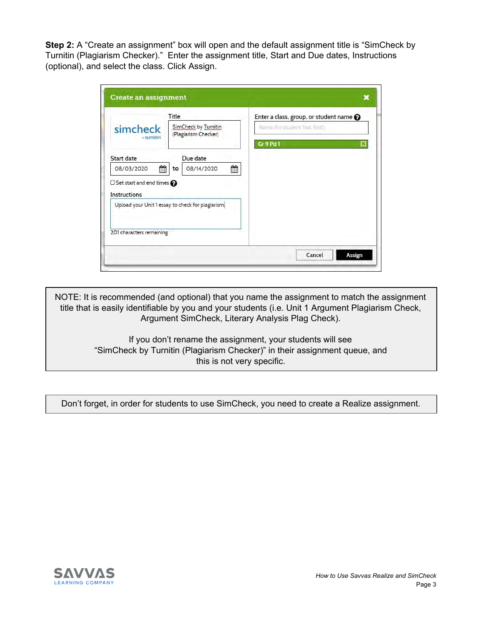**Step 2:** A "Create an assignment" box will open and the default assignment title is "SimCheck by Turnitin (Plagiarism Checker)." Enter the assignment title, Start and Due dates, Instructions (optional), and select the class. Click Assign.

|                                                           | Title                                             | Enter a class, group, or student name @          |
|-----------------------------------------------------------|---------------------------------------------------|--------------------------------------------------|
| simcheck<br><b><i>w</i></b> turnitin                      | SimCheck by Turnitin<br>(Plagiarism Checker)      | Name (for student Test, First)<br>Gr 9 Pd 1<br>E |
| Start date                                                | Due date                                          |                                                  |
| 鱛<br>08/03/2020                                           | 鱛<br>08/14/2020<br>to                             |                                                  |
| $\Box$ Set start and end times $\bigcirc$<br>Instructions |                                                   |                                                  |
|                                                           | Upload your Unit 1 essay to check for plagiarism. |                                                  |
| 201 characters remaining                                  |                                                   |                                                  |

NOTE: It is recommended (and optional) that you name the assignment to match the assignment title that is easily identifiable by you and your students (i.e. Unit 1 Argument Plagiarism Check, Argument SimCheck, Literary Analysis Plag Check).

> If you don't rename the assignment, your students will see "SimCheck by Turnitin (Plagiarism Checker)" in their assignment queue, and this is not very specific.

Don't forget, in order for students to use SimCheck, you need to create a Realize assignment.

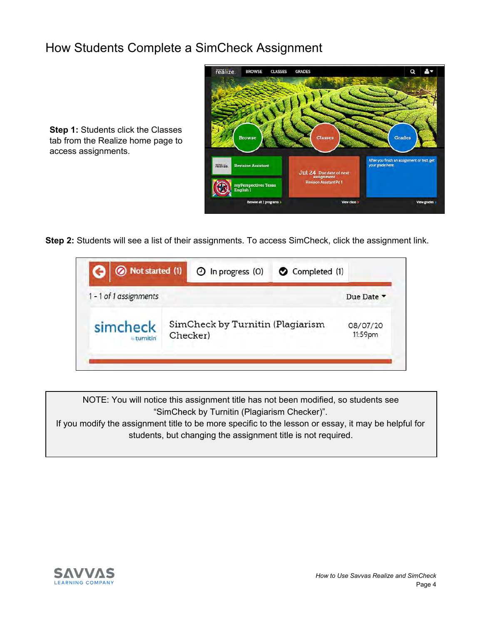#### How Students Complete a SimCheck Assignment



**Step 1: Students click the Classes** tab from the Realize home page to access assignments.

**Step 2:** Students will see a list of their assignments. To access SimCheck, click the assignment link.



NOTE: You will notice this assignment title has not been modified, so students see "SimCheck by Turnitin (Plagiarism Checker)".

If you modify the assignment title to be more specific to the lesson or essay, it may be helpful for students, but changing the assignment title is not required.

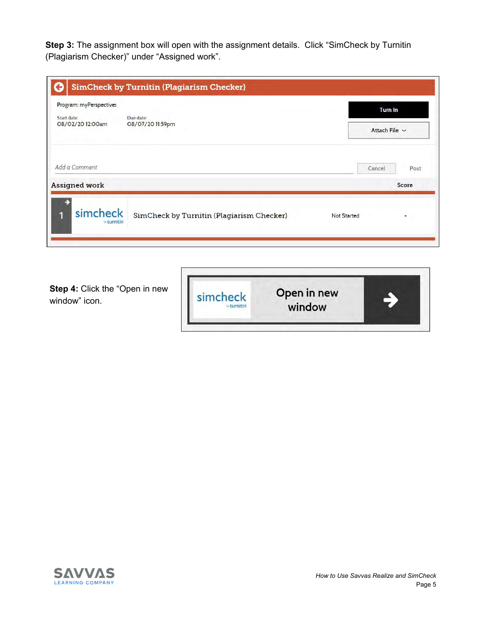**Step 3:** The assignment box will open with the assignment details. Click "SimCheck by Turnitin (Plagiarism Checker)" under "Assigned work".

| Program: myPerspectives                                          |  |        | <b>Turn In</b>     |  |
|------------------------------------------------------------------|--|--------|--------------------|--|
| Due date:<br>Start date:<br>08/02/20 12:00am<br>08/07/20 11:59pm |  |        | Attach File $\sim$ |  |
| Add a Comment                                                    |  | Cancel | Post               |  |
| <b>Assigned work</b>                                             |  |        | Score              |  |
| ÷                                                                |  |        |                    |  |

**Step 4: Click the "Open in new** window" icon.



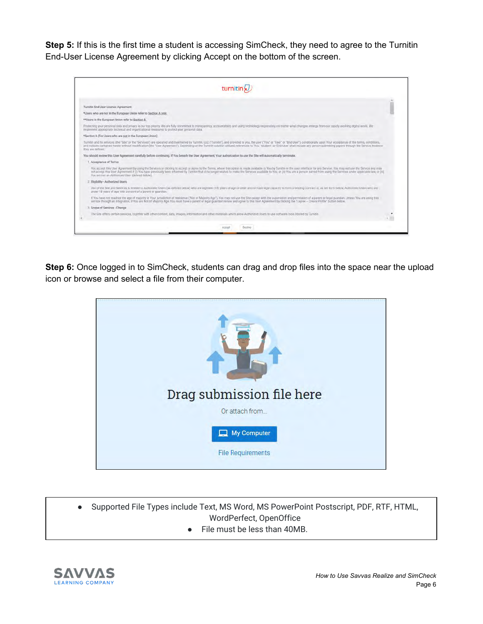**Step 5:** If this is the first time a student is accessing SimCheck, they need to agree to the Turnitin End-User License Agreement by clicking Accept on the bottom of the screen.

| Turnitin and its services (the "Site" or the "Services") are operated and maintained by Turnitin', LLC ("Turnitin"), and provided to you, the user ("You" or "User" or "End-User"), conditionally upon Your acceptance of the<br>and notices contained herein without modification (the "User Agreement"). Depending on the Turnitin solution utilized, references to 'You', 'studen', or End-User' shall include any person submitting papers through the Serv                                                                                                                                                                                                                                   |
|---------------------------------------------------------------------------------------------------------------------------------------------------------------------------------------------------------------------------------------------------------------------------------------------------------------------------------------------------------------------------------------------------------------------------------------------------------------------------------------------------------------------------------------------------------------------------------------------------------------------------------------------------------------------------------------------------|
|                                                                                                                                                                                                                                                                                                                                                                                                                                                                                                                                                                                                                                                                                                   |
|                                                                                                                                                                                                                                                                                                                                                                                                                                                                                                                                                                                                                                                                                                   |
| not accept this User Agreement if (i) You have previously been informed by Turnitin that it no longer wishes to make the Services sysalable to You, or (ii) You are a person barred from using the Services sudden law, or (ii                                                                                                                                                                                                                                                                                                                                                                                                                                                                    |
|                                                                                                                                                                                                                                                                                                                                                                                                                                                                                                                                                                                                                                                                                                   |
|                                                                                                                                                                                                                                                                                                                                                                                                                                                                                                                                                                                                                                                                                                   |
|                                                                                                                                                                                                                                                                                                                                                                                                                                                                                                                                                                                                                                                                                                   |
|                                                                                                                                                                                                                                                                                                                                                                                                                                                                                                                                                                                                                                                                                                   |
|                                                                                                                                                                                                                                                                                                                                                                                                                                                                                                                                                                                                                                                                                                   |
| You accept this User Agreement by using the Services or clicking to accept or agree to the Terms, where this option is made available to You by Turnitin in the user Interface for any Service. You may not use the Service an<br>Use of the Site and Services is limited to Authorized Users (as defined below) who are eighteen (18) years of age or older and/or have legal capacity to form a binding contract or, as set forth below, Authorized Users who<br>If You have not reached the age of majority in Your jurisdiction of residence ("Not of Majority Age"). You may not use the Site except with the supervision and permission of a parent or legal guardian. Unless You are using |

**Step 6:** Once logged in to SimCheck, students can drag and drop files into the space near the upload icon or browse and select a file from their computer.



- Supported File Types include Text, MS Word, MS PowerPoint Postscript, PDF, RTF, HTML, WordPerfect, OpenOffice
	- File must be less than 40MB.

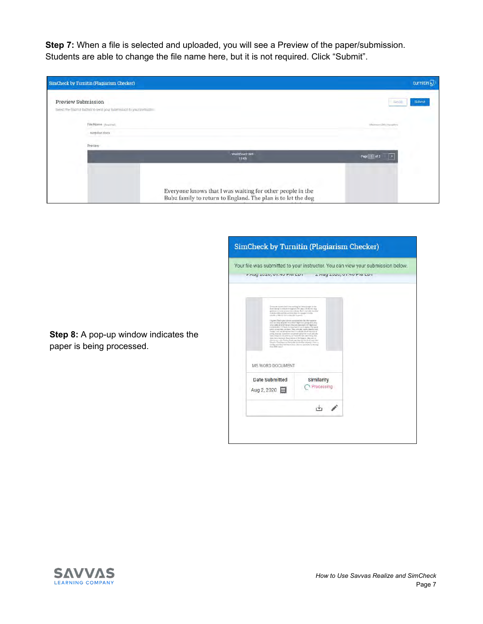**Step 7:** When a file is selected and uploaded, you will see a Preview of the paper/submission. Students are able to change the file name here, but it is not required. Click "Submit".

| <b>SimCheck by Turnitin (Plagiarism Checker)</b>                                             |                                                                                                                           | turnitin $\nabla$                                                       |
|----------------------------------------------------------------------------------------------|---------------------------------------------------------------------------------------------------------------------------|-------------------------------------------------------------------------|
| Preview Submission<br>Select the Salarrat budton to sentlyour bubrowhoot to your invitantor. |                                                                                                                           | Submit                                                                  |
| File Name (from the<br>surprise doox                                                         |                                                                                                                           | Maximumi 565 into                                                       |
| Preview.                                                                                     | Word Count: 559                                                                                                           | $\lceil \cdot \rceil$<br>Page <sup>1</sup><br><b><i><u>nf 3</u></i></b> |
|                                                                                              | <b>13KB</b>                                                                                                               |                                                                         |
|                                                                                              | Everyone knows that I was waiting for other people in the<br>Bubz family to return to England. The plan is to let the dog |                                                                         |

| 9 Aug 2020, 01:40 FWI EDT 2 Aug 2020, 01:40 FWI EDT                                                                                                                                                                                                                                                                                                                                                                                                                                                                                                                                                                                                                                                                                                                                                                                                                                                                                                                                                                                                                       |                          | Your file was submitted to your instructor. You can view your submission below. |
|---------------------------------------------------------------------------------------------------------------------------------------------------------------------------------------------------------------------------------------------------------------------------------------------------------------------------------------------------------------------------------------------------------------------------------------------------------------------------------------------------------------------------------------------------------------------------------------------------------------------------------------------------------------------------------------------------------------------------------------------------------------------------------------------------------------------------------------------------------------------------------------------------------------------------------------------------------------------------------------------------------------------------------------------------------------------------|--------------------------|---------------------------------------------------------------------------------|
| Impose hanes that I run auting he take google in the<br>from the By to return at English. The plan or by hit the ship<br>at more to be a symmetry from that was taken a price<br>To the phone of the American condition and an artist of the State<br>and the cr March Harles & Box 1841 to good to<br>The next That's plan since a contract was the chief expansion.<br>your policie field it leven (the site two number of the tax and<br>years of College Process and the collection of the animal<br>provided that they are know They are also wants, reality and<br>Finidal inval can direct that their in a driven in our rate can all<br>ying builds Special to great card on realize the<br>an exportingers a lower of section his<br>(etc.) was a narrowse, however on the hopper class rest or-<br>dite to see color Toyles Final any ring the thrill of local time<br>liked in Class Kiger car lasts also 40 cm disc ampaigs i harn a<br>to the marker with the China's Denver gwards. In the trac-<br><b>Diego Brill-comm<sup>2</sup></b><br>MS WORD DOCUMENT |                          |                                                                                 |
| Date Submitted<br>Aug 2, 2020                                                                                                                                                                                                                                                                                                                                                                                                                                                                                                                                                                                                                                                                                                                                                                                                                                                                                                                                                                                                                                             | Similarity<br>Processing |                                                                                 |
|                                                                                                                                                                                                                                                                                                                                                                                                                                                                                                                                                                                                                                                                                                                                                                                                                                                                                                                                                                                                                                                                           |                          |                                                                                 |

**Step 8:** A pop-up window indicates the paper is being processed.

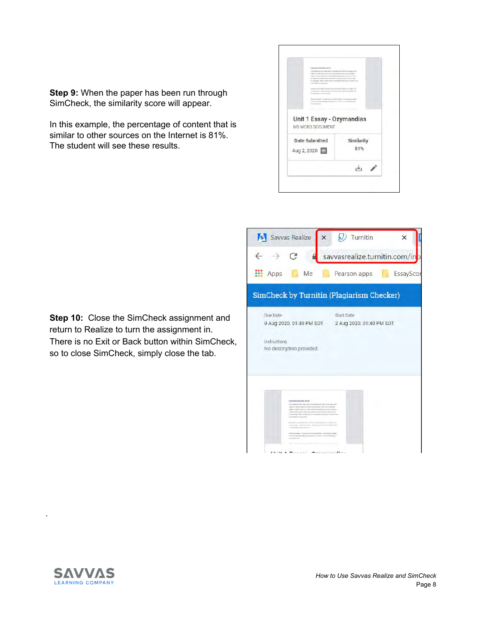

**Step 9:** When the paper has been run through SimCheck, the similarity score will appear.

In this example, the percentage of content that is similar to other sources on the Internet is 81%. The student will see these results.

**Step 10:** Close the SimCheck assignment and return to Realize to turn the assignment in. There is no Exit or Back button within SimCheck, so to close SimCheck, simply close the tab.





.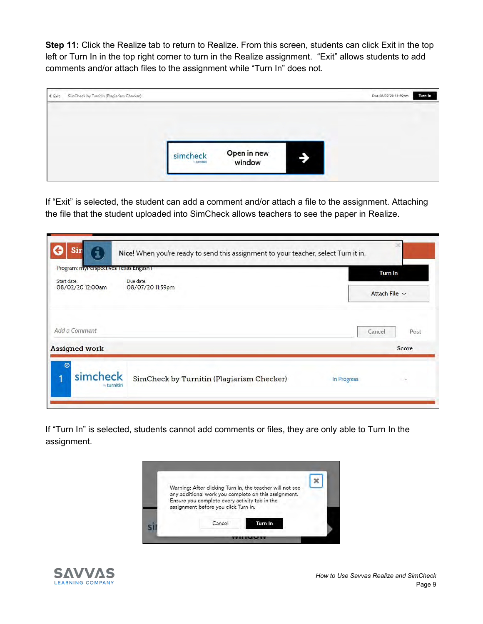**Step 11:** Click the Realize tab to return to Realize. From this screen, students can click Exit in the top left or Turn In in the top right corner to turn in the Realize assignment. "Exit" allows students to add comments and/or attach files to the assignment while "Turn In" does not.

| SimCheck by Turnitin (Plagiarism Checker)<br>$\xi$ Exit |                        |                       |   | Due 08/07/20 11:59pm<br>Turn In |
|---------------------------------------------------------|------------------------|-----------------------|---|---------------------------------|
|                                                         |                        |                       |   |                                 |
|                                                         | simcheck<br>- turnitin | Open in new<br>window | ∍ |                                 |

If "Exit" is selected, the student can add a comment and/or attach a file to the assignment. Attaching the file that the student uploaded into SimCheck allows teachers to see the paper in Realize.

| Start date:          | Due date:                                 |        | <b>Turn In</b>     |  |
|----------------------|-------------------------------------------|--------|--------------------|--|
| 08/02/20 12:00am     | 08/07/20 11:59pm                          |        | Attach File $\sim$ |  |
| Add a Comment        |                                           | Cancel | Post               |  |
| <b>Assigned work</b> |                                           |        | Score              |  |
| $\odot$<br>simcheck  | SimCheck by Turnitin (Plagiarism Checker) |        |                    |  |

If "Turn In" is selected, students cannot add comments or files, they are only able to Turn In the assignment.



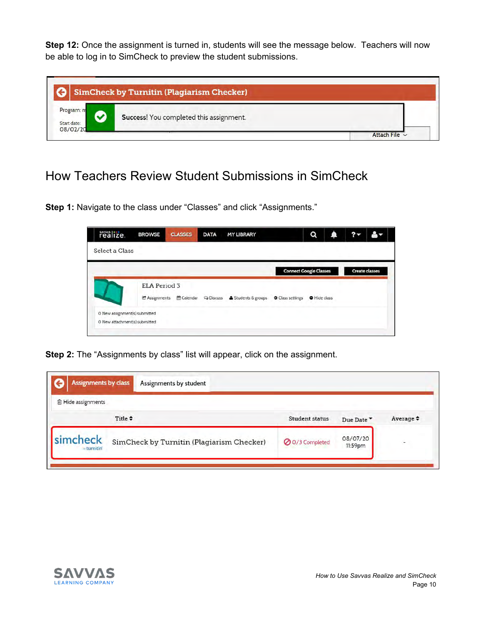**Step 12:** Once the assignment is turned in, students will see the message below. Teachers will now be able to log in to SimCheck to preview the student submissions.

|                                       | <b>SimCheck by Turnitin (Plagiarism Checker)</b> |  |
|---------------------------------------|--------------------------------------------------|--|
| Program: n<br>Start date:<br>08/02/20 | Success! You completed this assignment.          |  |

### How Teachers Review Student Submissions in SimCheck

**Step 1:** Navigate to the class under "Classes" and click "Assignments."

| realize.                      | <b>BROWSE</b>       | <b>CLASSES</b> | <b>DATA</b> | <b>MY LIBRARY</b>                                         |                               | Q                   | ▲ |                       |
|-------------------------------|---------------------|----------------|-------------|-----------------------------------------------------------|-------------------------------|---------------------|---|-----------------------|
| Select a Class                |                     |                |             |                                                           |                               |                     |   |                       |
|                               |                     |                |             |                                                           | <b>Connect Google Classes</b> |                     |   | <b>Create classes</b> |
|                               | <b>ELA Period 3</b> |                |             |                                                           |                               |                     |   |                       |
|                               | C Assignments       |                |             | m Calendar → Discuss & Students & groups → Class settings |                               | <b>O</b> Hide class |   |                       |
| O New assignment(s) submitted |                     |                |             |                                                           |                               |                     |   |                       |
| O New attachment(s) submitted |                     |                |             |                                                           |                               |                     |   |                       |

**Step 2:** The "Assignments by class" list will appear, click on the assignment.

| <b>■ Hide assignments</b> |                                           |                 |                     |                |
|---------------------------|-------------------------------------------|-----------------|---------------------|----------------|
|                           | Title $\div$                              | Student status  | Due Date            | Average $\div$ |
| simcheck<br>$=$ turnitin  | SimCheck by Turnitin (Plagiarism Checker) | O 0/3 Completed | 08/07/20<br>11:59pm |                |

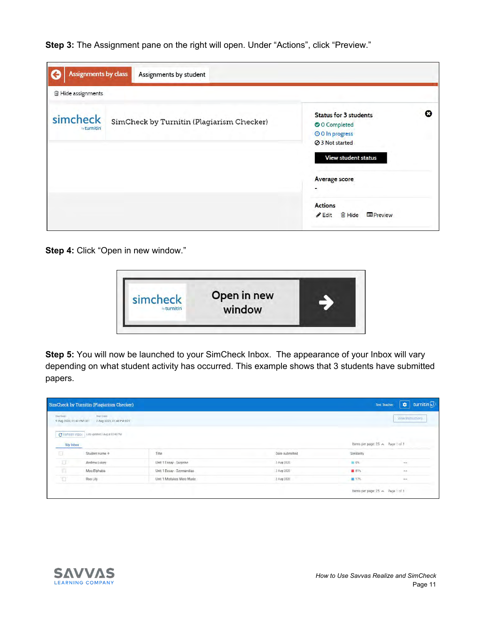**Step 3:** The Assignment pane on the right will open. Under "Actions", click "Preview."

| <b>Assignments by class</b>    | Assignments by student                    |                                                                                                                                                                                                                       |   |
|--------------------------------|-------------------------------------------|-----------------------------------------------------------------------------------------------------------------------------------------------------------------------------------------------------------------------|---|
| <b>@ Hide assignments</b>      |                                           |                                                                                                                                                                                                                       |   |
| simcheck<br><b>by turnitin</b> | SimCheck by Turnitin (Plagiarism Checker) | <b>Status for 3 students</b><br>O O Completed<br>O O In progress<br><b>⊘</b> 3 Not started<br><b>View student status</b><br>Average score<br><b>Actions</b><br><sup>血</sup> Hide<br><b>E</b> Preview<br><b>∕ Edit</b> | Ω |

**Step 4:** Click "Open in new window."



**Step 5:** You will now be launched to your SimCheck Inbox. The appearance of your Inbox will vary depending on what student activity has occurred. This example shows that 3 students have submitted papers.

| Doe Gate<br>9 Aug 2020, 01:40 PM EDT | <b>Start Date</b><br>2 Aug 2020, 01:40 PM EDT | View Instructions         |                |                                 |                         |
|--------------------------------------|-----------------------------------------------|---------------------------|----------------|---------------------------------|-------------------------|
| My Inbox                             | C Refresh inbox Late upstee 2 August 03:45 PM |                           |                | Items per page 25 A Page 1 of 1 |                         |
| ū                                    | Student name +                                | Title                     | Date submitted | Similarity                      |                         |
| 亘                                    | Andrew Lukey                                  | Unit 1 Essay - Surprise   | 2 Aug 2020     | $= 0$ %                         | $\cdots$                |
|                                      | Moo Elphaba                                   | Unit 1 Essay - Ozymandias | 2 Aug 2020     | ■ 81%                           | $\lambda\lambda\lambda$ |
| $\overline{\mathbb{R}}$              |                                               |                           |                |                                 |                         |

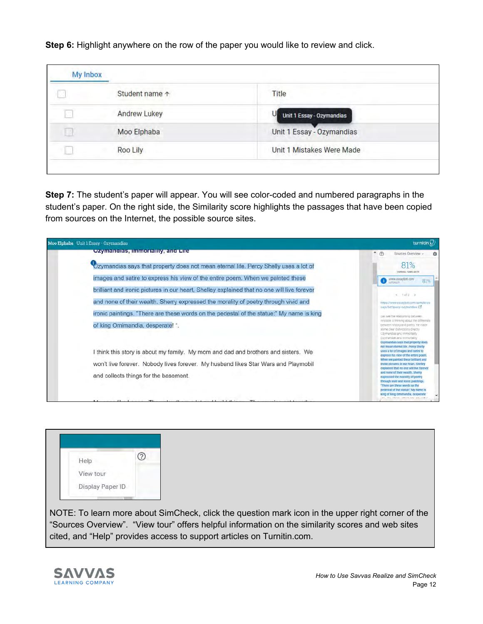**Step 6:** Highlight anywhere on the row of the paper you would like to review and click.

| <b>My Inbox</b> |                     |                                |
|-----------------|---------------------|--------------------------------|
|                 | Student name 1      | Title                          |
|                 | <b>Andrew Lukey</b> | Unit 1 Essay - Ozymandias<br>U |
|                 | Moo Elphaba         | Unit 1 Essay - Ozymandias      |
|                 | Roo Lily            | Unit 1 Mistakes Were Made      |

**Step 7:** The student's paper will appear. You will see color-coded and numbered paragraphs in the student's paper. On the right side, the Similarity score highlights the passages that have been copied from sources on the Internet, the possible source sites.

| Moo Elphaba Unit 1 Essay - Ozymandías                                                                                       | turnitin(J)                                                                                                                                                                                                                                                                                                                                               |
|-----------------------------------------------------------------------------------------------------------------------------|-----------------------------------------------------------------------------------------------------------------------------------------------------------------------------------------------------------------------------------------------------------------------------------------------------------------------------------------------------------|
| Ozymandias, immortality, and Life                                                                                           | $\bullet$ $\circledcirc$<br>Sources Overview -<br>٠                                                                                                                                                                                                                                                                                                       |
| Ozymandias says that property does not mean eternal life. Percy Shelly uses a lot of                                        | 81%<br>OVERALL SIMILARITY                                                                                                                                                                                                                                                                                                                                 |
| images and satire to express his view of the entire poem. When we painted these                                             | www.essaybot.com<br>81%<br><b>UTEBULT</b>                                                                                                                                                                                                                                                                                                                 |
| brilliant and ironic pictures in our heart. Shelley explained that no one will live forever                                 | $4 - 1052 - 3$                                                                                                                                                                                                                                                                                                                                            |
| and none of their wealth. Sherry expressed the morality of poetry through vivid and                                         | https://www.essaybot.com/sample/es                                                                                                                                                                                                                                                                                                                        |
| ironic paintings. "There are these words on the pedestal of the statue:" My name is king<br>of king Omimandia, desperate!". | says/list?query+ozymandiak ES<br>can see the relationship between<br>Aristotle is thinking about the difference<br>between history and poetry. He made<br>some clear distinctions directly<br>Czymandias and Immoltality<br>Ozymandias and immortality<br>Ozymandias says that property does                                                              |
| I think this story is about my family. My mom and dad and brothers and sisters. We                                          | not mean elernal life. Percy Shelly<br>uses a lot of images and satire to<br>express his view of the entire poem.                                                                                                                                                                                                                                         |
| won't live forever. Nobody lives forever. My husband likes Star Wars and Playmobil<br>and collects things for the basement. | When we painted these brilliant and<br>fronte pictures in our heart, Shelley<br>explained that no one will live forever<br>and none of their wealth. Sherry<br>expressed the morality of poetry<br>through <i>wid</i> and ironic paintings.<br>"There are these words on the<br>perfectal of the statue." My name is<br>king of king Omimandia, desperate |
|                                                                                                                             | STE., WELL STRAUM, DEREK HARRY DEMOCRAN.                                                                                                                                                                                                                                                                                                                  |



NOTE: To learn more about SimCheck, click the question mark icon in the upper right corner of the "Sources Overview". "View tour" offers helpful information on the similarity scores and web sites cited, and "Help" provides access to support articles on Turnitin.com.